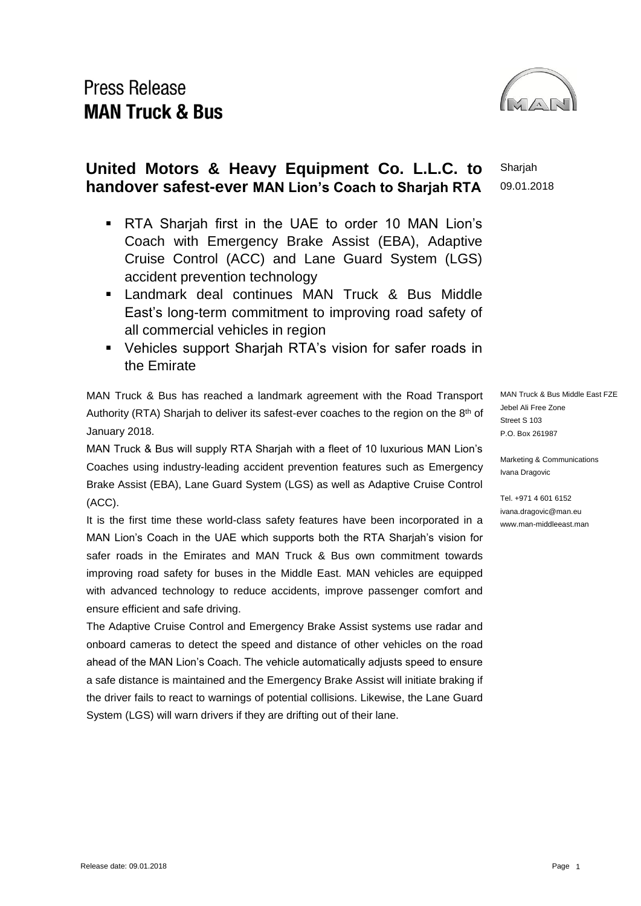## **United Motors & Heavy Equipment Co. L.L.C. to handover safest-ever MAN Lion's Coach to Sharjah RTA** Sharjah 09.01.2018

- RTA Sharjah first in the UAE to order 10 MAN Lion's Coach with Emergency Brake Assist (EBA), Adaptive Cruise Control (ACC) and Lane Guard System (LGS) accident prevention technology
- Landmark deal continues MAN Truck & Bus Middle East's long-term commitment to improving road safety of all commercial vehicles in region
- Vehicles support Sharjah RTA's vision for safer roads in the Emirate

MAN Truck & Bus has reached a landmark agreement with the Road Transport Authority (RTA) Sharjah to deliver its safest-ever coaches to the region on the 8<sup>th</sup> of January 2018.

MAN Truck & Bus will supply RTA Sharjah with a fleet of 10 luxurious MAN Lion's Coaches using industry-leading accident prevention features such as Emergency Brake Assist (EBA), Lane Guard System (LGS) as well as Adaptive Cruise Control (ACC).

It is the first time these world-class safety features have been incorporated in a MAN Lion's Coach in the UAE which supports both the RTA Sharjah's vision for safer roads in the Emirates and MAN Truck & Bus own commitment towards improving road safety for buses in the Middle East. MAN vehicles are equipped with advanced technology to reduce accidents, improve passenger comfort and ensure efficient and safe driving.

The Adaptive Cruise Control and Emergency Brake Assist systems use radar and onboard cameras to detect the speed and distance of other vehicles on the road ahead of the MAN Lion's Coach. The vehicle automatically adjusts speed to ensure a safe distance is maintained and the Emergency Brake Assist will initiate braking if the driver fails to react to warnings of potential collisions. Likewise, the Lane Guard System (LGS) will warn drivers if they are drifting out of their lane.

MAN Truck & Bus Middle East FZE Jebel Ali Free Zone Street S 103 P.O. Box 261987

Marketing & Communications Ivana Dragovic

Tel. +971 4 601 6152 ivana.dragovic@man.eu www.man-middleeast.man